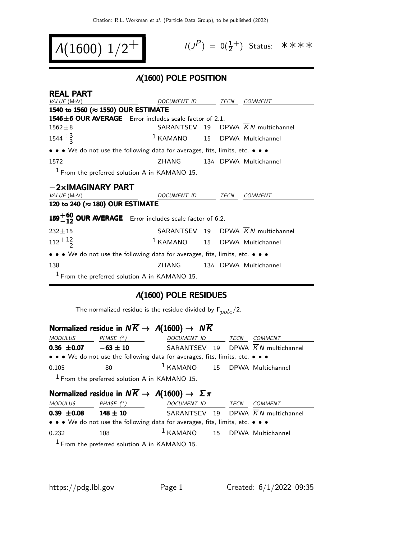$$
\boxed{ \mathcal{A}(1600) \; 1/2^+ \; } \qquad \qquad ^{\mathit{II},\mathit{II}}
$$

$$
I(J^P) = 0(\frac{1}{2}^+) \quad \text{Status:} \quad \text{*} \quad \text{*} \quad \text{*} \quad \text{*}
$$

### Λ(1600) POLE POSITION

| <b>REAL PART</b>                                                              |                                          |  |                                                |
|-------------------------------------------------------------------------------|------------------------------------------|--|------------------------------------------------|
| VALUE (MeV)                                                                   | DOCUMENT ID TECN                         |  | COMMENT                                        |
| 1540 to 1560 (≈ 1550) OUR ESTIMATE                                            |                                          |  |                                                |
| 1546±6 OUR AVERAGE Error includes scale factor of 2.1.                        |                                          |  |                                                |
| $1562 \pm 8$                                                                  |                                          |  | SARANTSEV 19 DPWA $\overline{K}N$ multichannel |
| $1544^{+3}_{-3}$                                                              | <sup>1</sup> KAMANO 15 DPWA Multichannel |  |                                                |
| • • • We do not use the following data for averages, fits, limits, etc. • • • |                                          |  |                                                |
| 1572                                                                          | <b>ZHANG</b>                             |  | 13A DPWA Multichannel                          |
| <sup>1</sup> From the preferred solution A in KAMANO 15.                      |                                          |  |                                                |
| $-2\times$ IMAGINARY PART                                                     |                                          |  |                                                |
| VALUE (MeV)                                                                   | DOCUMENT ID TECN                         |  | COMMENT                                        |
| 120 to 240 (≈ 180) OUR ESTIMATE                                               |                                          |  |                                                |
| 159 $+60$ OUR AVERAGE Error includes scale factor of 6.2.                     |                                          |  |                                                |
| $232 \pm 15$                                                                  |                                          |  | SARANTSEV 19 DPWA $\overline{K}N$ multichannel |
| $112 + {}^{12}_{-}$                                                           | <sup>1</sup> KAMANO 15 DPWA Multichannel |  |                                                |
| • • • We do not use the following data for averages, fits, limits, etc. • • • |                                          |  |                                                |
| 138                                                                           | ZHANG                                    |  | 13A DPWA Multichannel                          |
| $1$ From the preferred solution A in KAMANO 15.                               |                                          |  |                                                |

### Λ(1600) POLE RESIDUES

The normalized residue is the residue divided by  $\Gamma_{pole}/2$ .

### Normalized residue in  $N\overline{K} \rightarrow \Lambda(1600) \rightarrow N\overline{K}$

| <i>MODULUS</i>  | PHASE $(^\circ)$ | DOCUMENT ID                                                                   | TECN | <i>COMMENT</i> |
|-----------------|------------------|-------------------------------------------------------------------------------|------|----------------|
| $0.36 \pm 0.07$ | $-63 \pm 10$     | SARANTSEV 19 DPWA $\overline{K}N$ multichannel                                |      |                |
|                 |                  | • • • We do not use the following data for averages, fits, limits, etc. • • • |      |                |
| 0.105           | $-80$            | $1$ KAMANO $15$ DPWA Multichannel                                             |      |                |
|                 |                  |                                                                               |      |                |

1 From the preferred solution A in KAMANO 15.

### Normalized residue in  $N\overline{K} \rightarrow \Lambda(1600) \rightarrow \Sigma \pi$

| <i>MODULUS</i>  | PHASE $(^\circ)$                                                              | DOCUMENT ID                       | TECN | <i>COMMENT</i>                                 |
|-----------------|-------------------------------------------------------------------------------|-----------------------------------|------|------------------------------------------------|
| $0.39 \pm 0.08$ | $148 \pm 10$                                                                  |                                   |      | SARANTSEV 19 DPWA $\overline{K}N$ multichannel |
|                 | • • • We do not use the following data for averages, fits, limits, etc. • • • |                                   |      |                                                |
| 0.232           | 108                                                                           | $1$ KAMANO $15$ DPWA Multichannel |      |                                                |
|                 | $1$ Erom the preferred solution A in $KAMAND$ 15                              |                                   |      |                                                |

From the preferred solution A in KAMANO 15.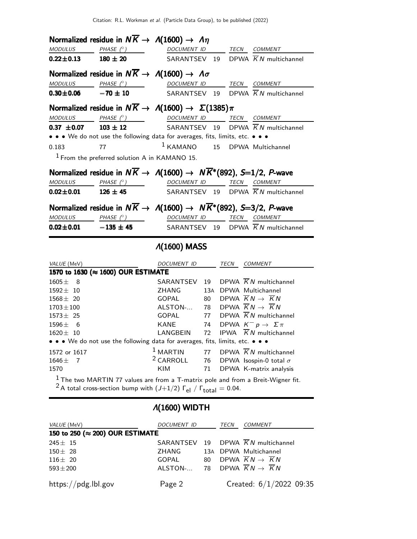|                         |                                                 | Normalized residue in $N\overline{K} \rightarrow A(1600) \rightarrow A\eta$                      |          |               |                                                         |
|-------------------------|-------------------------------------------------|--------------------------------------------------------------------------------------------------|----------|---------------|---------------------------------------------------------|
| <b>MODULUS</b>          | PHASE $(^\circ)$                                | <b>DOCUMENT ID</b>                                                                               |          |               | TECN COMMENT                                            |
| $0.22 \pm 0.13$         | $180 \pm 20$                                    | SARANTSEV 19                                                                                     |          |               | DPWA $\overline{K}N$ multichannel                       |
|                         |                                                 | Normalized residue in $N\overline{K} \rightarrow A(1600) \rightarrow A\sigma$                    |          |               |                                                         |
| <b>MODULUS</b>          | PHASE (°)                                       | DOCUMENT ID                                                                                      |          | TECN          | <b>COMMENT</b>                                          |
| $0.30 + 0.06$           | $-70 \pm 10$                                    | SARANTSEV                                                                                        |          | 19            | DPWA $\overline{K}N$ multichannel                       |
|                         |                                                 | Normalized residue in $N\overline{K} \to \Lambda(1600) \to \Sigma(1385)\pi$                      |          |               |                                                         |
| <b>MODULUS</b>          | PHASE $(^\circ)$                                | <b>DOCUMENT ID</b>                                                                               |          | $\frac{1}{2}$ | TECN COMMENT                                            |
| $0.37 \pm 0.07$         | $103 \pm 12$                                    | SARANTSEV 19                                                                                     |          |               | DPWA $\overline{K}N$ multichannel                       |
|                         |                                                 | • • • We do not use the following data for averages, fits, limits, etc. • • •                    |          |               |                                                         |
| 0.183                   | 77                                              | $1$ KAMANO                                                                                       | 15       |               | DPWA Multichannel                                       |
|                         | $1$ From the preferred solution A in KAMANO 15. |                                                                                                  |          |               |                                                         |
|                         |                                                 | Normalized residue in $N\overline{K} \to \Lambda(1600) \to N\overline{K}^*(892)$ , S=1/2, P-wave |          |               |                                                         |
| <b>MODULUS</b>          | PHASE $(^\circ)$                                |                                                                                                  |          |               | DOCUMENT ID TECN COMMENT                                |
| $0.02 \pm 0.01$         | $126 \pm 45$                                    | SARANTSEV 19                                                                                     |          |               | DPWA $\overline{K}N$ multichannel                       |
|                         |                                                 | Normalized residue in $N\overline{K} \to \Lambda(1600) \to N\overline{K}^*(892)$ , S=3/2, P-wave |          |               |                                                         |
| MODULUS                 | PHASE (° )                                      | DOCUMENT ID TECN COMMENT                                                                         |          |               |                                                         |
| $0.02 \pm 0.01$         | $-135 \pm 45$                                   | SARANTSEV 19                                                                                     |          |               | DPWA $\overline{K}N$ multichannel                       |
|                         |                                                 |                                                                                                  |          |               |                                                         |
|                         |                                                 | $\Lambda(1600)$ MASS                                                                             |          |               |                                                         |
| VALUE (MeV)             |                                                 | DOCUMENT ID                                                                                      |          | TECN          | COMMENT                                                 |
|                         | 1570 to 1630 (≈ 1600) OUR ESTIMATE              |                                                                                                  |          |               |                                                         |
| $1605 \pm$<br>8         |                                                 | SARANTSEV                                                                                        | 19       |               | DPWA K N multichannel                                   |
| $1592 \pm 10$           |                                                 | ZHANG                                                                                            |          |               | 13A DPWA Multichannel                                   |
| $1568 \pm 20$           |                                                 | <b>GOPAL</b>                                                                                     | 80       |               | DPWA $KN \rightarrow KN$                                |
| $1703 \pm 100$          |                                                 | ALSTON-                                                                                          | 78       |               | DPWA $\overline{K}N \rightarrow \overline{K}N$          |
| $1573 \pm 25$           |                                                 | <b>GOPAL</b>                                                                                     | 77       |               | DPWA $\overline{K}N$ multichannel                       |
| $1596 \pm$<br>6         |                                                 | <b>KANE</b>                                                                                      | 74       |               | DPWA $K^- p \rightarrow \Sigma \pi$                     |
| $1620 \pm 10$           |                                                 | LANGBEIN                                                                                         | 72       |               | IPWA $\overline{K}N$ multichannel                       |
|                         |                                                 | • • • We do not use the following data for averages, fits, limits, etc. • • •                    |          |               |                                                         |
| 1572 or 1617            |                                                 | $1$ MARTIN                                                                                       | 77       |               | DPWA $\overline{K}N$ multichannel                       |
| 1646 $\pm$<br>7<br>1570 |                                                 | <sup>2</sup> CARROLL<br><b>KIM</b>                                                               | 76<br>71 |               | DPWA Isospin-0 total $\sigma$<br>DPWA K-matrix analysis |

<sup>2</sup> A total cross-section bump with  $(J+1/2)$   $\Gamma_{el}$  /  $\Gamma_{total} = 0.04$ .

# Λ(1600) WIDTH

| VALUE (MeV)                     | DOCUMENT ID                                               |    | TECN | <b>COMMENT</b>                                 |
|---------------------------------|-----------------------------------------------------------|----|------|------------------------------------------------|
| 150 to 250 (≈ 200) OUR ESTIMATE |                                                           |    |      |                                                |
| $245 \pm 15$                    |                                                           |    |      | SARANTSEV 19 DPWA $\overline{K}N$ multichannel |
| $150 \pm 28$                    | ZHANG                                                     |    |      | 13A DPWA Multichannel                          |
| $116 \pm 20$                    | GOPAL                                                     | 80 |      | DPWA $\overline{K}N\rightarrow \overline{K}N$  |
| $593 \pm 200$                   | ALSTON- 78 DPWA $\overline{K}N \rightarrow \overline{K}N$ |    |      |                                                |
| https://pdg.lbl.gov             | Page 2                                                    |    |      | Created: $6/1/2022$ 09:35                      |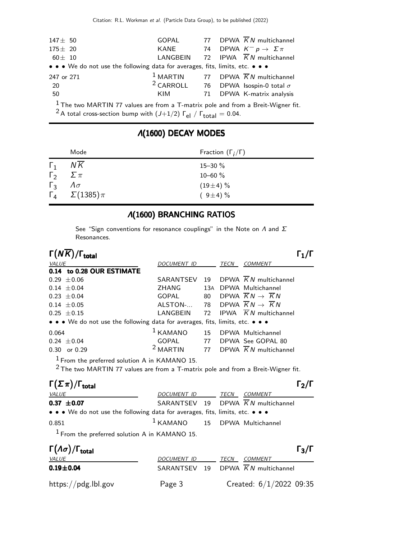| $147 \pm 50$                                                                  | GOPAL | 77 DPWA $\overline{K}N$ multichannel                     |
|-------------------------------------------------------------------------------|-------|----------------------------------------------------------|
| $175 \pm 20$                                                                  | KANE  | 74 DPWA $K^- p \to \Sigma \pi$                           |
| $60\pm$ 10                                                                    |       | LANGBEIN 72 IPWA $\overline{K}N$ multichannel            |
| • • • We do not use the following data for averages, fits, limits, etc. • • • |       |                                                          |
| 247 or 271                                                                    |       | <sup>1</sup> MARTIN 77 DPWA $\overline{K}N$ multichannel |
| -20                                                                           |       | <sup>2</sup> CARROLL 76 DPWA Isospin-0 total $\sigma$    |
| 50                                                                            | KIM   | 71 DPWA K-matrix analysis                                |
| $1  \cdots$ $1 -$                                                             |       |                                                          |

 $1$  The two MARTIN 77 values are from a T-matrix pole and from a Breit-Wigner fit. <sup>2</sup> A total cross-section bump with  $(J+1/2)$   $\Gamma_{el}$  /  $\Gamma_{total} = 0.04$ .

# Λ(1600) DECAY MODES Mode Fraction  $(\Gamma_j/\Gamma)$

| $\Gamma_1$            | NK                               | $15 - 30 \%$ |
|-----------------------|----------------------------------|--------------|
| $\mathsf{\Gamma}_{2}$ | $\sum \pi$                       | 10–60 $\%$   |
| $\Gamma_{3}$          | $\Lambda \sigma$                 | $(19\pm4)\%$ |
|                       | $\Gamma_4 \quad \Sigma(1385)\pi$ | $(9\pm4)\%$  |

### Λ(1600) BRANCHING RATIOS

See "Sign conventions for resonance couplings" in the Note on  $\Lambda$  and  $\Sigma$ Resonances.

| $\Gamma(N\overline{K})/\Gamma_{\rm total}$ |  |
|--------------------------------------------|--|
|--------------------------------------------|--|

| $\Gamma(N\overline{K})/\Gamma_{\rm total}$                                    |                                                           |      |                                                          |  |
|-------------------------------------------------------------------------------|-----------------------------------------------------------|------|----------------------------------------------------------|--|
| VALUE                                                                         | DOCUMENT ID                                               | TECN | <b>COMMENT</b>                                           |  |
| 0.14 to 0.28 OUR ESTIMATE                                                     |                                                           |      |                                                          |  |
| $0.29 \pm 0.06$                                                               |                                                           |      | SARANTSEV 19 DPWA $\overline{K}N$ multichannel           |  |
| $0.14 \pm 0.04$                                                               | ZHANG                                                     |      | 13A DPWA Multichannel                                    |  |
| $0.23 \pm 0.04$                                                               | GOPAL 80 DPWA $\overline{K}N \rightarrow \overline{K}N$   |      |                                                          |  |
| $0.14 \pm 0.05$                                                               | ALSTON- 78 DPWA $\overline{K}N \rightarrow \overline{K}N$ |      |                                                          |  |
| $0.25 \pm 0.15$                                                               |                                                           |      | LANGBEIN 72 IPWA $\overline{K}N$ multichannel            |  |
| • • • We do not use the following data for averages, fits, limits, etc. • • • |                                                           |      |                                                          |  |
| 0.064                                                                         | $1$ KAMANO $15$ DPWA Multichannel                         |      |                                                          |  |
| $0.24 \pm 0.04$                                                               |                                                           |      | GOPAL 77 DPWA See GOPAL 80                               |  |
| $0.30$ or $0.29$                                                              |                                                           |      | <sup>2</sup> MARTIN 77 DPWA $\overline{K}N$ multichannel |  |
| $1$ Fram the nucleused colution A in KAMANO 15                                |                                                           |      |                                                          |  |

 $\frac{1}{2}$  From the preferred solution A in KAMANO 15.

2 The two MARTIN 77 values are from a T-matrix pole and from a Breit-Wigner fit.

| $\Gamma(\Sigma \pi)/\Gamma_{\rm total}$                                       |                                   |      |                                                | $\Gamma_{2}/\Gamma$ |
|-------------------------------------------------------------------------------|-----------------------------------|------|------------------------------------------------|---------------------|
| <i>VALUE</i>                                                                  | DOCUMENT ID                       | TECN | <i>COMMENT</i>                                 |                     |
| $0.37 \pm 0.07$                                                               |                                   |      | SARANTSEV 19 DPWA $\overline{K}N$ multichannel |                     |
| • • • We do not use the following data for averages, fits, limits, etc. • • • |                                   |      |                                                |                     |
| 0.851                                                                         | $1$ KAMANO $15$ DPWA Multichannel |      |                                                |                     |
| $1$ From the preferred solution A in KAMANO 15.                               |                                   |      |                                                |                     |

| $\Gamma(\Lambda\sigma)/\Gamma_{\rm total}$ |             | $\Gamma_3/\Gamma$                              |
|--------------------------------------------|-------------|------------------------------------------------|
| <i>VALUE</i>                               | DOCUMENT ID | <i>COMMENT</i><br>TECN                         |
| $0.19 + 0.04$                              |             | SARANTSEV 19 DPWA $\overline{K}N$ multichannel |
| https://pdg.lbl.gov                        | Page 3      | Created: $6/1/2022$ 09:35                      |